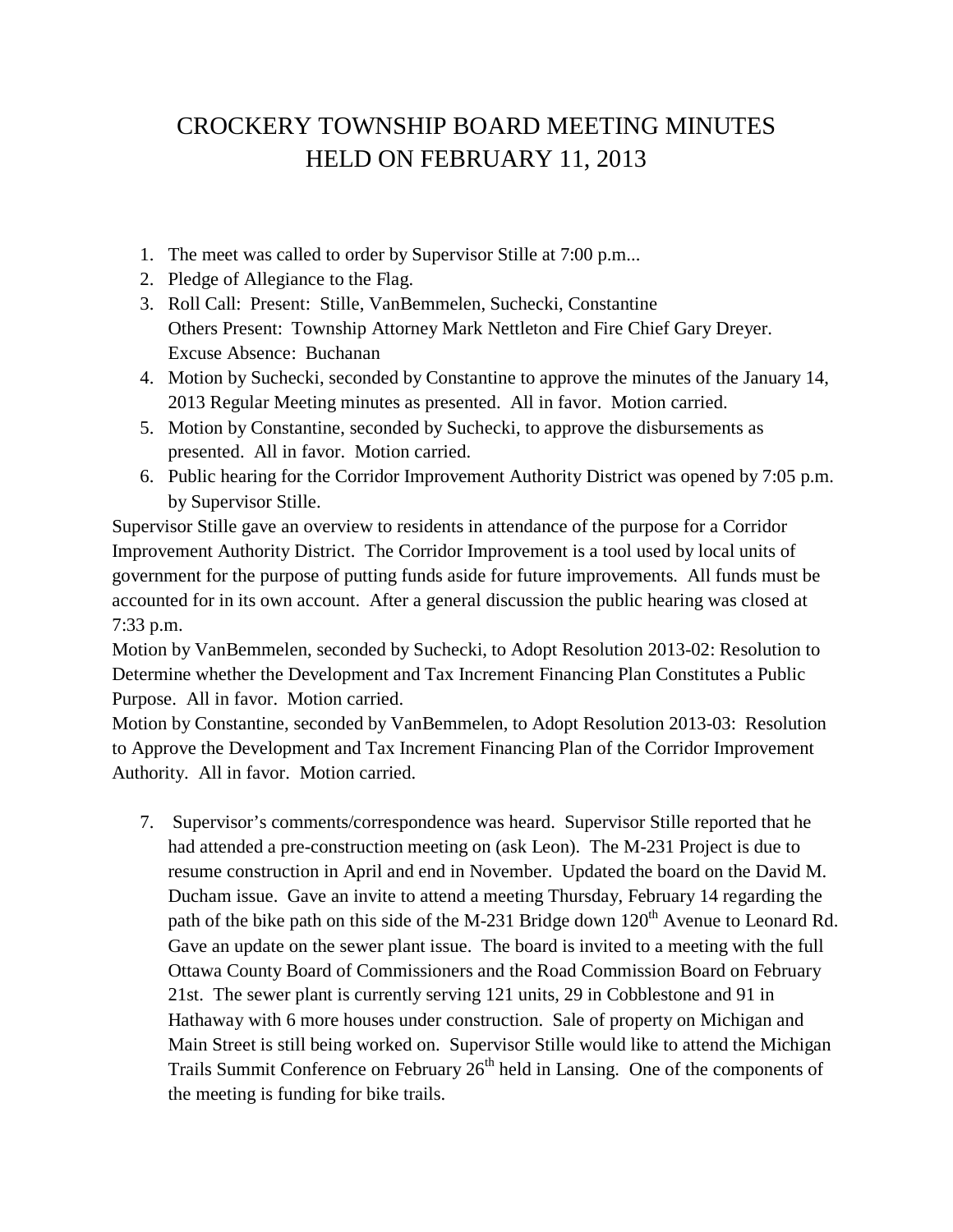## CROCKERY TOWNSHIP BOARD MEETING MINUTES HELD ON FEBRUARY 11, 2013

- 1. The meet was called to order by Supervisor Stille at 7:00 p.m...
- 2. Pledge of Allegiance to the Flag.
- 3. Roll Call: Present: Stille, VanBemmelen, Suchecki, Constantine Others Present: Township Attorney Mark Nettleton and Fire Chief Gary Dreyer. Excuse Absence: Buchanan
- 4. Motion by Suchecki, seconded by Constantine to approve the minutes of the January 14, 2013 Regular Meeting minutes as presented. All in favor. Motion carried.
- 5. Motion by Constantine, seconded by Suchecki, to approve the disbursements as presented. All in favor. Motion carried.
- 6. Public hearing for the Corridor Improvement Authority District was opened by 7:05 p.m. by Supervisor Stille.

Supervisor Stille gave an overview to residents in attendance of the purpose for a Corridor Improvement Authority District. The Corridor Improvement is a tool used by local units of government for the purpose of putting funds aside for future improvements. All funds must be accounted for in its own account. After a general discussion the public hearing was closed at 7:33 p.m.

Motion by VanBemmelen, seconded by Suchecki, to Adopt Resolution 2013-02: Resolution to Determine whether the Development and Tax Increment Financing Plan Constitutes a Public Purpose. All in favor. Motion carried.

Motion by Constantine, seconded by VanBemmelen, to Adopt Resolution 2013-03: Resolution to Approve the Development and Tax Increment Financing Plan of the Corridor Improvement Authority. All in favor. Motion carried.

7. Supervisor's comments/correspondence was heard. Supervisor Stille reported that he had attended a pre-construction meeting on (ask Leon). The M-231 Project is due to resume construction in April and end in November. Updated the board on the David M. Ducham issue. Gave an invite to attend a meeting Thursday, February 14 regarding the path of the bike path on this side of the M-231 Bridge down  $120<sup>th</sup>$  Avenue to Leonard Rd. Gave an update on the sewer plant issue. The board is invited to a meeting with the full Ottawa County Board of Commissioners and the Road Commission Board on February 21st. The sewer plant is currently serving 121 units, 29 in Cobblestone and 91 in Hathaway with 6 more houses under construction. Sale of property on Michigan and Main Street is still being worked on. Supervisor Stille would like to attend the Michigan Trails Summit Conference on February  $26<sup>th</sup>$  held in Lansing. One of the components of the meeting is funding for bike trails.